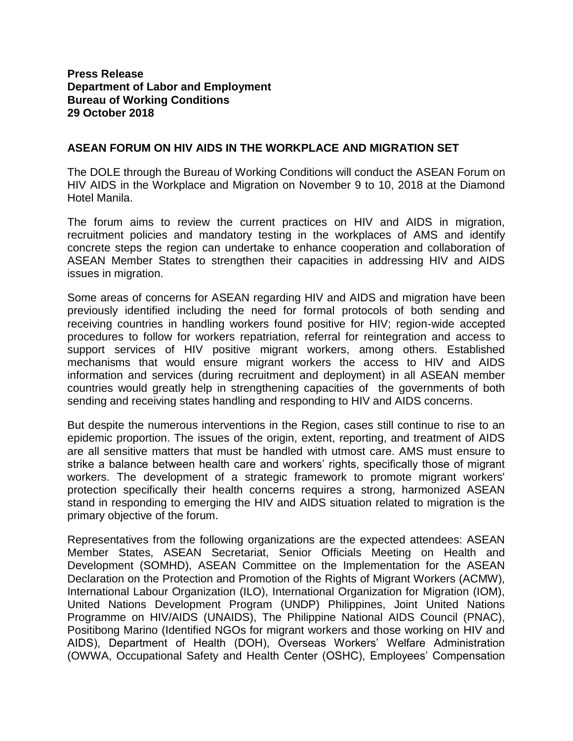## **Press Release Department of Labor and Employment Bureau of Working Conditions 29 October 2018**

## **ASEAN FORUM ON HIV AIDS IN THE WORKPLACE AND MIGRATION SET**

The DOLE through the Bureau of Working Conditions will conduct the ASEAN Forum on HIV AIDS in the Workplace and Migration on November 9 to 10, 2018 at the Diamond Hotel Manila.

The forum aims to review the current practices on HIV and AIDS in migration, recruitment policies and mandatory testing in the workplaces of AMS and identify concrete steps the region can undertake to enhance cooperation and collaboration of ASEAN Member States to strengthen their capacities in addressing HIV and AIDS issues in migration.

Some areas of concerns for ASEAN regarding HIV and AIDS and migration have been previously identified including the need for formal protocols of both sending and receiving countries in handling workers found positive for HIV; region-wide accepted procedures to follow for workers repatriation, referral for reintegration and access to support services of HIV positive migrant workers, among others. Established mechanisms that would ensure migrant workers the access to HIV and AIDS information and services (during recruitment and deployment) in all ASEAN member countries would greatly help in strengthening capacities of the governments of both sending and receiving states handling and responding to HIV and AIDS concerns.

But despite the numerous interventions in the Region, cases still continue to rise to an epidemic proportion. The issues of the origin, extent, reporting, and treatment of AIDS are all sensitive matters that must be handled with utmost care. AMS must ensure to strike a balance between health care and workers' rights, specifically those of migrant workers. The development of a strategic framework to promote migrant workers' protection specifically their health concerns requires a strong, harmonized ASEAN stand in responding to emerging the HIV and AIDS situation related to migration is the primary objective of the forum.

Representatives from the following organizations are the expected attendees: ASEAN Member States, ASEAN Secretariat, Senior Officials Meeting on Health and Development (SOMHD), ASEAN Committee on the Implementation for the ASEAN Declaration on the Protection and Promotion of the Rights of Migrant Workers (ACMW), International Labour Organization (ILO), International Organization for Migration (IOM), United Nations Development Program (UNDP) Philippines, Joint United Nations Programme on HIV/AIDS (UNAIDS), The Philippine National AIDS Council (PNAC), Positibong Marino (Identified NGOs for migrant workers and those working on HIV and AIDS), Department of Health (DOH), Overseas Workers' Welfare Administration (OWWA, Occupational Safety and Health Center (OSHC), Employees' Compensation